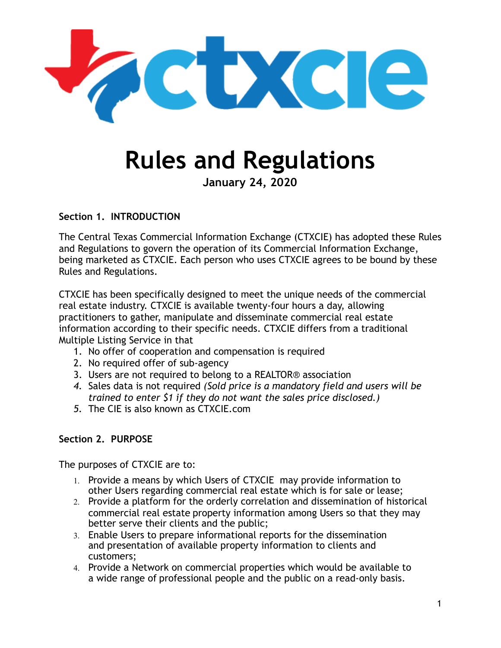

# **Rules and Regulations**

**January 24, 2020** 

**Section 1. INTRODUCTION** 

The Central Texas Commercial Information Exchange (CTXCIE) has adopted these Rules and Regulations to govern the operation of its Commercial Information Exchange, being marketed as CTXCIE. Each person who uses CTXCIE agrees to be bound by these Rules and Regulations.

CTXCIE has been specifically designed to meet the unique needs of the commercial real estate industry. CTXCIE is available twenty-four hours a day, allowing practitioners to gather, manipulate and disseminate commercial real estate information according to their specific needs. CTXCIE differs from a traditional Multiple Listing Service in that

- 1. No offer of cooperation and compensation is required
- 2. No required offer of sub-agency
- 3. Users are not required to belong to a REALTOR® association
- *4.* Sales data is not required *(Sold price is a mandatory field and users will be trained to enter \$1 if they do not want the sales price disclosed.)*
- *5.* The CIE is also known as CTXCIE.com

#### **Section 2. PURPOSE**

The purposes of CTXCIE are to:

- 1. Provide a means by which Users of CTXCIE may provide information to other Users regarding commercial real estate which is for sale or lease;
- 2. Provide a platform for the orderly correlation and dissemination of historical commercial real estate property information among Users so that they may better serve their clients and the public;
- 3. Enable Users to prepare informational reports for the dissemination and presentation of available property information to clients and customers;
- 4. Provide a Network on commercial properties which would be available to a wide range of professional people and the public on a read-only basis.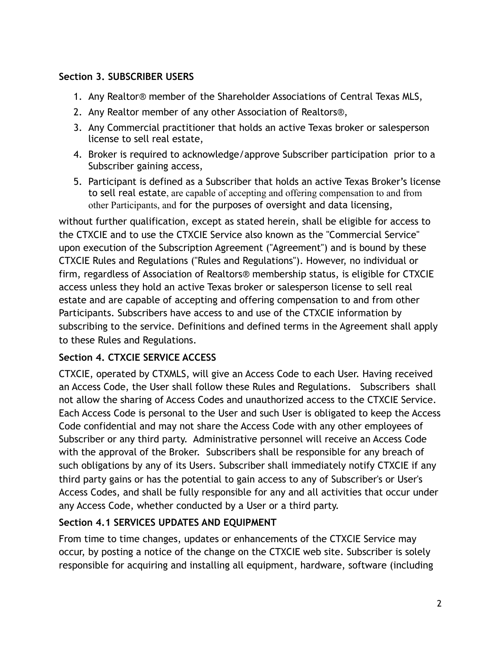#### **Section 3. SUBSCRIBER USERS**

- 1. Any Realtor® member of the Shareholder Associations of Central Texas MLS,
- 2. Any Realtor member of any other Association of Realtors®,
- 3. Any Commercial practitioner that holds an active Texas broker or salesperson license to sell real estate,
- 4. Broker is required to acknowledge/approve Subscriber participation prior to a Subscriber gaining access,
- 5. Participant is defined as a Subscriber that holds an active Texas Broker's license to sell real estate, are capable of accepting and offering compensation to and from other Participants, and for the purposes of oversight and data licensing,

without further qualification, except as stated herein, shall be eligible for access to the CTXCIE and to use the CTXCIE Service also known as the "Commercial Service" upon execution of the Subscription Agreement ("Agreement") and is bound by these CTXCIE Rules and Regulations ("Rules and Regulations"). However, no individual or firm, regardless of Association of Realtors® membership status, is eligible for CTXCIE access unless they hold an active Texas broker or salesperson license to sell real estate and are capable of accepting and offering compensation to and from other Participants. Subscribers have access to and use of the CTXCIE information by subscribing to the service. Definitions and defined terms in the Agreement shall apply to these Rules and Regulations.

#### **Section 4. CTXCIE SERVICE ACCESS**

CTXCIE, operated by CTXMLS, will give an Access Code to each User. Having received an Access Code, the User shall follow these Rules and Regulations. Subscribers shall not allow the sharing of Access Codes and unauthorized access to the CTXCIE Service. Each Access Code is personal to the User and such User is obligated to keep the Access Code confidential and may not share the Access Code with any other employees of Subscriber or any third party. Administrative personnel will receive an Access Code with the approval of the Broker. Subscribers shall be responsible for any breach of such obligations by any of its Users. Subscriber shall immediately notify CTXCIE if any third party gains or has the potential to gain access to any of Subscriber's or User's Access Codes, and shall be fully responsible for any and all activities that occur under any Access Code, whether conducted by a User or a third party.

#### **Section 4.1 SERVICES UPDATES AND EQUIPMENT**

From time to time changes, updates or enhancements of the CTXCIE Service may occur, by posting a notice of the change on the CTXCIE web site. Subscriber is solely responsible for acquiring and installing all equipment, hardware, software (including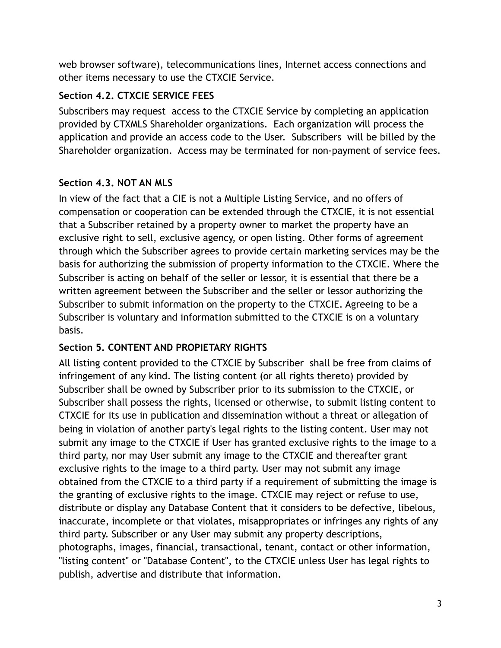web browser software), telecommunications lines, Internet access connections and other items necessary to use the CTXCIE Service.

#### **Section 4.2. CTXCIE SERVICE FEES**

Subscribers may request access to the CTXCIE Service by completing an application provided by CTXMLS Shareholder organizations. Each organization will process the application and provide an access code to the User. Subscribers will be billed by the Shareholder organization. Access may be terminated for non-payment of service fees.

#### **Section 4.3. NOT AN MLS**

In view of the fact that a CIE is not a Multiple Listing Service, and no offers of compensation or cooperation can be extended through the CTXCIE, it is not essential that a Subscriber retained by a property owner to market the property have an exclusive right to sell, exclusive agency, or open listing. Other forms of agreement through which the Subscriber agrees to provide certain marketing services may be the basis for authorizing the submission of property information to the CTXCIE. Where the Subscriber is acting on behalf of the seller or lessor, it is essential that there be a written agreement between the Subscriber and the seller or lessor authorizing the Subscriber to submit information on the property to the CTXCIE. Agreeing to be a Subscriber is voluntary and information submitted to the CTXCIE is on a voluntary basis.

## **Section 5. CONTENT AND PROPIETARY RIGHTS**

All listing content provided to the CTXCIE by Subscriber shall be free from claims of infringement of any kind. The listing content (or all rights thereto) provided by Subscriber shall be owned by Subscriber prior to its submission to the CTXCIE, or Subscriber shall possess the rights, licensed or otherwise, to submit listing content to CTXCIE for its use in publication and dissemination without a threat or allegation of being in violation of another party's legal rights to the listing content. User may not submit any image to the CTXCIE if User has granted exclusive rights to the image to a third party, nor may User submit any image to the CTXCIE and thereafter grant exclusive rights to the image to a third party. User may not submit any image obtained from the CTXCIE to a third party if a requirement of submitting the image is the granting of exclusive rights to the image. CTXCIE may reject or refuse to use, distribute or display any Database Content that it considers to be defective, libelous, inaccurate, incomplete or that violates, misappropriates or infringes any rights of any third party. Subscriber or any User may submit any property descriptions, photographs, images, financial, transactional, tenant, contact or other information, "listing content" or "Database Content", to the CTXCIE unless User has legal rights to publish, advertise and distribute that information.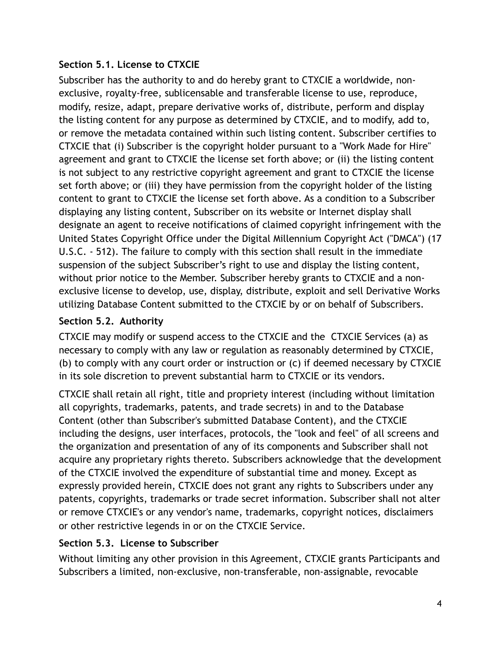#### **Section 5.1. License to CTXCIE**

Subscriber has the authority to and do hereby grant to CTXCIE a worldwide, nonexclusive, royalty-free, sublicensable and transferable license to use, reproduce, modify, resize, adapt, prepare derivative works of, distribute, perform and display the listing content for any purpose as determined by CTXCIE, and to modify, add to, or remove the metadata contained within such listing content. Subscriber certifies to CTXCIE that (i) Subscriber is the copyright holder pursuant to a "Work Made for Hire" agreement and grant to CTXCIE the license set forth above; or (ii) the listing content is not subject to any restrictive copyright agreement and grant to CTXCIE the license set forth above; or (iii) they have permission from the copyright holder of the listing content to grant to CTXCIE the license set forth above. As a condition to a Subscriber displaying any listing content, Subscriber on its website or Internet display shall designate an agent to receive notifications of claimed copyright infringement with the United States Copyright Office under the Digital Millennium Copyright Act ("DMCA") (17 U.S.C. - 512). The failure to comply with this section shall result in the immediate suspension of the subject Subscriber's right to use and display the listing content, without prior notice to the Member. Subscriber hereby grants to CTXCIE and a nonexclusive license to develop, use, display, distribute, exploit and sell Derivative Works utilizing Database Content submitted to the CTXCIE by or on behalf of Subscribers.

#### **Section 5.2. Authority**

CTXCIE may modify or suspend access to the CTXCIE and the CTXCIE Services (a) as necessary to comply with any law or regulation as reasonably determined by CTXCIE, (b) to comply with any court order or instruction or (c) if deemed necessary by CTXCIE in its sole discretion to prevent substantial harm to CTXCIE or its vendors.

CTXCIE shall retain all right, title and propriety interest (including without limitation all copyrights, trademarks, patents, and trade secrets) in and to the Database Content (other than Subscriber's submitted Database Content), and the CTXCIE including the designs, user interfaces, protocols, the "look and feel" of all screens and the organization and presentation of any of its components and Subscriber shall not acquire any proprietary rights thereto. Subscribers acknowledge that the development of the CTXCIE involved the expenditure of substantial time and money. Except as expressly provided herein, CTXCIE does not grant any rights to Subscribers under any patents, copyrights, trademarks or trade secret information. Subscriber shall not alter or remove CTXCIE's or any vendor's name, trademarks, copyright notices, disclaimers or other restrictive legends in or on the CTXCIE Service.

#### **Section 5.3. License to Subscriber**

Without limiting any other provision in this Agreement, CTXCIE grants Participants and Subscribers a limited, non-exclusive, non-transferable, non-assignable, revocable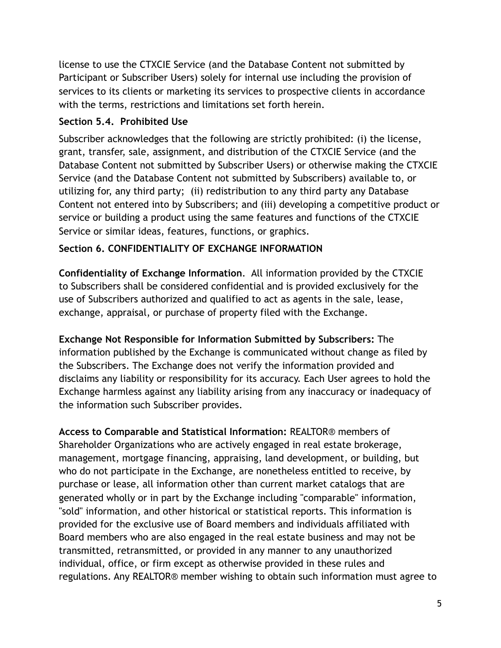license to use the CTXCIE Service (and the Database Content not submitted by Participant or Subscriber Users) solely for internal use including the provision of services to its clients or marketing its services to prospective clients in accordance with the terms, restrictions and limitations set forth herein.

#### **Section 5.4. Prohibited Use**

Subscriber acknowledges that the following are strictly prohibited: (i) the license, grant, transfer, sale, assignment, and distribution of the CTXCIE Service (and the Database Content not submitted by Subscriber Users) or otherwise making the CTXCIE Service (and the Database Content not submitted by Subscribers) available to, or utilizing for, any third party; (ii) redistribution to any third party any Database Content not entered into by Subscribers; and (iii) developing a competitive product or service or building a product using the same features and functions of the CTXCIE Service or similar ideas, features, functions, or graphics.

#### **Section 6. CONFIDENTIALITY OF EXCHANGE INFORMATION**

**Confidentiality of Exchange Information**. All information provided by the CTXCIE to Subscribers shall be considered confidential and is provided exclusively for the use of Subscribers authorized and qualified to act as agents in the sale, lease, exchange, appraisal, or purchase of property filed with the Exchange.

**Exchange Not Responsible for Information Submitted by Subscribers:** The information published by the Exchange is communicated without change as filed by the Subscribers. The Exchange does not verify the information provided and disclaims any liability or responsibility for its accuracy. Each User agrees to hold the Exchange harmless against any liability arising from any inaccuracy or inadequacy of the information such Subscriber provides.

**Access to Comparable and Statistical Information:** REALTOR® members of Shareholder Organizations who are actively engaged in real estate brokerage, management, mortgage financing, appraising, land development, or building, but who do not participate in the Exchange, are nonetheless entitled to receive, by purchase or lease, all information other than current market catalogs that are generated wholly or in part by the Exchange including "comparable" information, "sold" information, and other historical or statistical reports. This information is provided for the exclusive use of Board members and individuals affiliated with Board members who are also engaged in the real estate business and may not be transmitted, retransmitted, or provided in any manner to any unauthorized individual, office, or firm except as otherwise provided in these rules and regulations. Any REALTOR® member wishing to obtain such information must agree to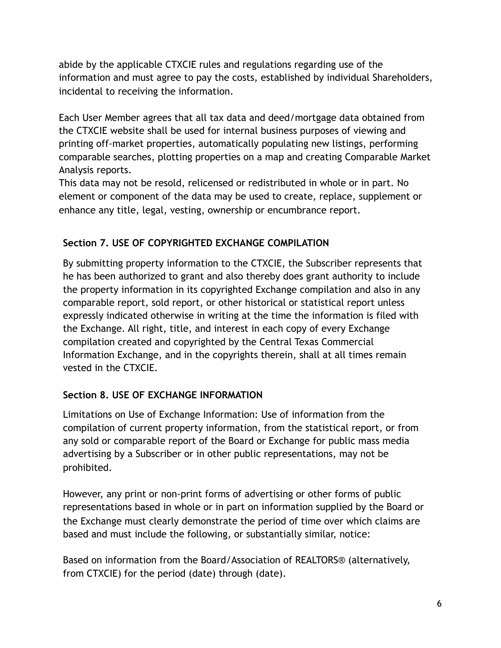abide by the applicable CTXCIE rules and regulations regarding use of the information and must agree to pay the costs, established by individual Shareholders, incidental to receiving the information.

Each User Member agrees that all tax data and deed/mortgage data obtained from the CTXCIE website shall be used for internal business purposes of viewing and printing off-market properties, automatically populating new listings, performing comparable searches, plotting properties on a map and creating Comparable Market Analysis reports.

This data may not be resold, relicensed or redistributed in whole or in part. No element or component of the data may be used to create, replace, supplement or enhance any title, legal, vesting, ownership or encumbrance report.

#### **Section 7. USE OF COPYRIGHTED EXCHANGE COMPILATION**

By submitting property information to the CTXCIE, the Subscriber represents that he has been authorized to grant and also thereby does grant authority to include the property information in its copyrighted Exchange compilation and also in any comparable report, sold report, or other historical or statistical report unless expressly indicated otherwise in writing at the time the information is filed with the Exchange. All right, title, and interest in each copy of every Exchange compilation created and copyrighted by the Central Texas Commercial Information Exchange, and in the copyrights therein, shall at all times remain vested in the CTXCIE.

## **Section 8. USE OF EXCHANGE INFORMATION**

Limitations on Use of Exchange Information: Use of information from the compilation of current property information, from the statistical report, or from any sold or comparable report of the Board or Exchange for public mass media advertising by a Subscriber or in other public representations, may not be prohibited.

However, any print or non-print forms of advertising or other forms of public representations based in whole or in part on information supplied by the Board or the Exchange must clearly demonstrate the period of time over which claims are based and must include the following, or substantially similar, notice:

Based on information from the Board/Association of REALTORS® (alternatively, from CTXCIE) for the period (date) through (date).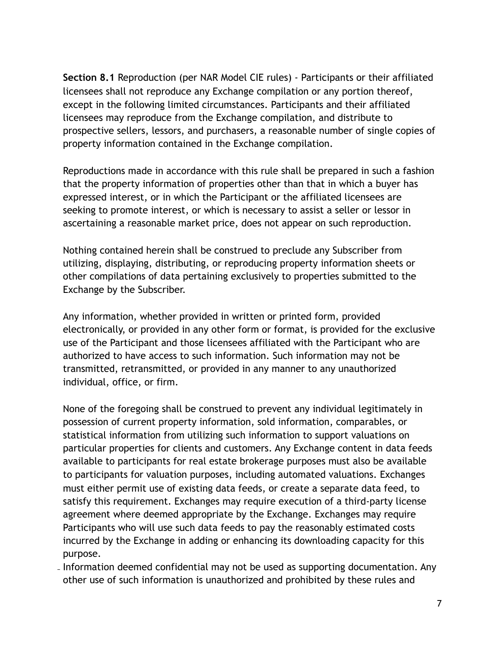**Section 8.1** Reproduction (per NAR Model CIE rules) - Participants or their affiliated licensees shall not reproduce any Exchange compilation or any portion thereof, except in the following limited circumstances. Participants and their affiliated licensees may reproduce from the Exchange compilation, and distribute to prospective sellers, lessors, and purchasers, a reasonable number of single copies of property information contained in the Exchange compilation.

Reproductions made in accordance with this rule shall be prepared in such a fashion that the property information of properties other than that in which a buyer has expressed interest, or in which the Participant or the affiliated licensees are seeking to promote interest, or which is necessary to assist a seller or lessor in ascertaining a reasonable market price, does not appear on such reproduction.

Nothing contained herein shall be construed to preclude any Subscriber from utilizing, displaying, distributing, or reproducing property information sheets or other compilations of data pertaining exclusively to properties submitted to the Exchange by the Subscriber.

Any information, whether provided in written or printed form, provided electronically, or provided in any other form or format, is provided for the exclusive use of the Participant and those licensees affiliated with the Participant who are authorized to have access to such information. Such information may not be transmitted, retransmitted, or provided in any manner to any unauthorized individual, office, or firm.

None of the foregoing shall be construed to prevent any individual legitimately in possession of current property information, sold information, comparables, or statistical information from utilizing such information to support valuations on particular properties for clients and customers. Any Exchange content in data feeds available to participants for real estate brokerage purposes must also be available to participants for valuation purposes, including automated valuations. Exchanges must either permit use of existing data feeds, or create a separate data feed, to satisfy this requirement. Exchanges may require execution of a third-party license agreement where deemed appropriate by the Exchange. Exchanges may require Participants who will use such data feeds to pay the reasonably estimated costs incurred by the Exchange in adding or enhancing its downloading capacity for this purpose.

Information deemed confidential may not be used as supporting documentation. Any other use of such information is unauthorized and prohibited by these rules and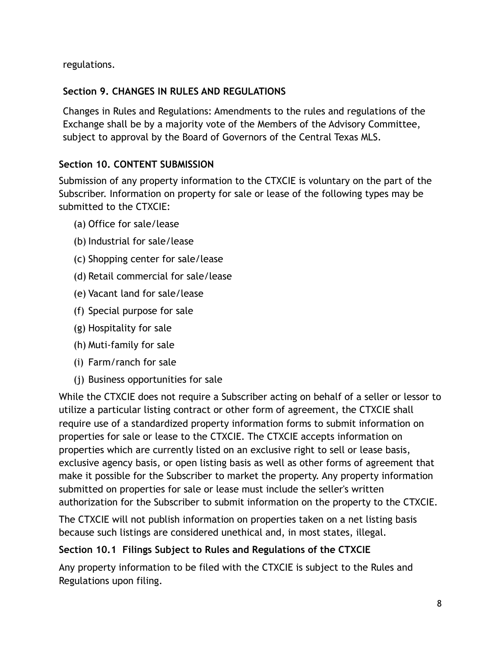regulations.

#### **Section 9. CHANGES IN RULES AND REGULATIONS**

Changes in Rules and Regulations: Amendments to the rules and regulations of the Exchange shall be by a majority vote of the Members of the Advisory Committee, subject to approval by the Board of Governors of the Central Texas MLS.

#### **Section 10. CONTENT SUBMISSION**

Submission of any property information to the CTXCIE is voluntary on the part of the Subscriber. Information on property for sale or lease of the following types may be submitted to the CTXCIE:

- (a) Office for sale/lease
- (b) Industrial for sale/lease
- (c) Shopping center for sale/lease
- (d) Retail commercial for sale/lease
- (e) Vacant land for sale/lease
- (f) Special purpose for sale
- (g) Hospitality for sale
- (h) Muti-family for sale
- (i) Farm/ranch for sale
- (j) Business opportunities for sale

While the CTXCIE does not require a Subscriber acting on behalf of a seller or lessor to utilize a particular listing contract or other form of agreement, the CTXCIE shall require use of a standardized property information forms to submit information on properties for sale or lease to the CTXCIE. The CTXCIE accepts information on properties which are currently listed on an exclusive right to sell or lease basis, exclusive agency basis, or open listing basis as well as other forms of agreement that make it possible for the Subscriber to market the property. Any property information submitted on properties for sale or lease must include the seller's written authorization for the Subscriber to submit information on the property to the CTXCIE.

The CTXCIE will not publish information on properties taken on a net listing basis because such listings are considered unethical and, in most states, illegal.

#### **Section 10.1 Filings Subject to Rules and Regulations of the CTXCIE**

Any property information to be filed with the CTXCIE is subject to the Rules and Regulations upon filing.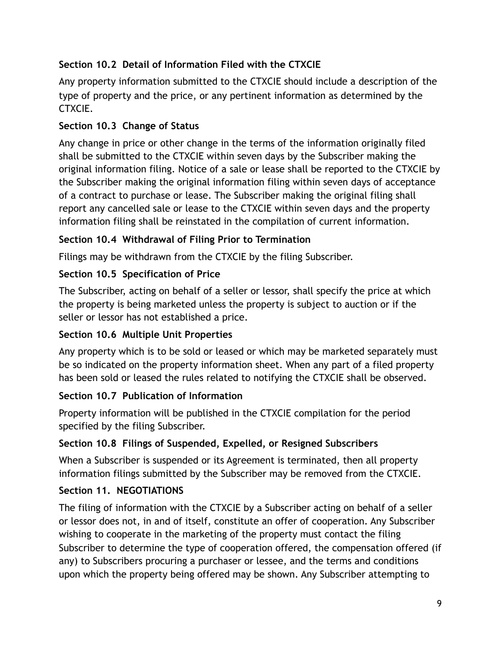# **Section 10.2 Detail of Information Filed with the CTXCIE**

Any property information submitted to the CTXCIE should include a description of the type of property and the price, or any pertinent information as determined by the CTXCIE.

# **Section 10.3 Change of Status**

Any change in price or other change in the terms of the information originally filed shall be submitted to the CTXCIE within seven days by the Subscriber making the original information filing. Notice of a sale or lease shall be reported to the CTXCIE by the Subscriber making the original information filing within seven days of acceptance of a contract to purchase or lease. The Subscriber making the original filing shall report any cancelled sale or lease to the CTXCIE within seven days and the property information filing shall be reinstated in the compilation of current information.

# **Section 10.4 Withdrawal of Filing Prior to Termination**

Filings may be withdrawn from the CTXCIE by the filing Subscriber.

# **Section 10.5 Specification of Price**

The Subscriber, acting on behalf of a seller or lessor, shall specify the price at which the property is being marketed unless the property is subject to auction or if the seller or lessor has not established a price.

## **Section 10.6 Multiple Unit Properties**

Any property which is to be sold or leased or which may be marketed separately must be so indicated on the property information sheet. When any part of a filed property has been sold or leased the rules related to notifying the CTXCIE shall be observed.

# **Section 10.7 Publication of Information**

Property information will be published in the CTXCIE compilation for the period specified by the filing Subscriber.

## **Section 10.8 Filings of Suspended, Expelled, or Resigned Subscribers**

When a Subscriber is suspended or its Agreement is terminated, then all property information filings submitted by the Subscriber may be removed from the CTXCIE.

## **Section 11. NEGOTIATIONS**

The filing of information with the CTXCIE by a Subscriber acting on behalf of a seller or lessor does not, in and of itself, constitute an offer of cooperation. Any Subscriber wishing to cooperate in the marketing of the property must contact the filing Subscriber to determine the type of cooperation offered, the compensation offered (if any) to Subscribers procuring a purchaser or lessee, and the terms and conditions upon which the property being offered may be shown. Any Subscriber attempting to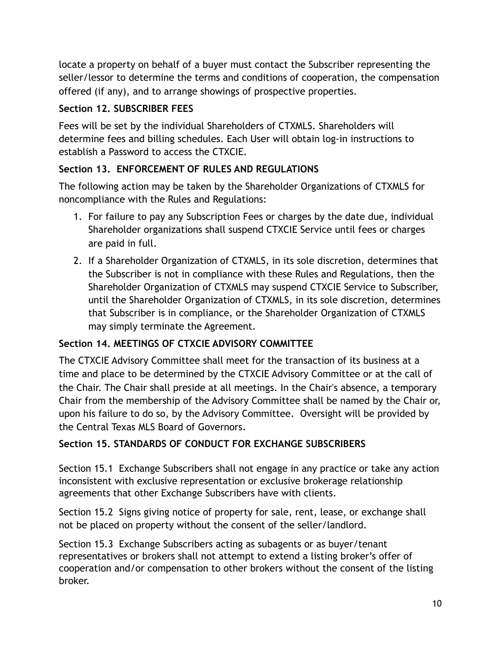locate a property on behalf of a buyer must contact the Subscriber representing the seller/lessor to determine the terms and conditions of cooperation, the compensation offered (if any), and to arrange showings of prospective properties.

#### **Section 12. SUBSCRIBER FEES**

Fees will be set by the individual Shareholders of CTXMLS. Shareholders will determine fees and billing schedules. Each User will obtain log-in instructions to establish a Password to access the CTXCIE.

#### **Section 13. ENFORCEMENT OF RULES AND REGULATIONS**

The following action may be taken by the Shareholder Organizations of CTXMLS for noncompliance with the Rules and Regulations:

- 1. For failure to pay any Subscription Fees or charges by the date due, individual Shareholder organizations shall suspend CTXCIE Service until fees or charges are paid in full.
- 2. If a Shareholder Organization of CTXMLS, in its sole discretion, determines that the Subscriber is not in compliance with these Rules and Regulations, then the Shareholder Organization of CTXMLS may suspend CTXCIE Service to Subscriber, until the Shareholder Organization of CTXMLS, in its sole discretion, determines that Subscriber is in compliance, or the Shareholder Organization of CTXMLS may simply terminate the Agreement.

## **Section 14. MEETINGS OF CTXCIE ADVISORY COMMITTEE**

The CTXCIE Advisory Committee shall meet for the transaction of its business at a time and place to be determined by the CTXCIE Advisory Committee or at the call of the Chair. The Chair shall preside at all meetings. In the Chair's absence, a temporary Chair from the membership of the Advisory Committee shall be named by the Chair or, upon his failure to do so, by the Advisory Committee. Oversight will be provided by the Central Texas MLS Board of Governors.

#### **Section 15. STANDARDS OF CONDUCT FOR EXCHANGE SUBSCRIBERS**

Section 15.1 Exchange Subscribers shall not engage in any practice or take any action inconsistent with exclusive representation or exclusive brokerage relationship agreements that other Exchange Subscribers have with clients.

Section 15.2 Signs giving notice of property for sale, rent, lease, or exchange shall not be placed on property without the consent of the seller/landlord.

Section 15.3 Exchange Subscribers acting as subagents or as buyer/tenant representatives or brokers shall not attempt to extend a listing broker's offer of cooperation and/or compensation to other brokers without the consent of the listing broker.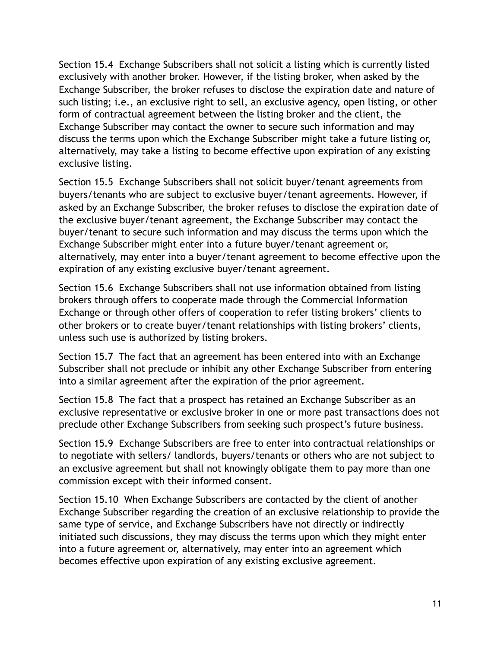Section 15.4 Exchange Subscribers shall not solicit a listing which is currently listed exclusively with another broker. However, if the listing broker, when asked by the Exchange Subscriber, the broker refuses to disclose the expiration date and nature of such listing; i.e., an exclusive right to sell, an exclusive agency, open listing, or other form of contractual agreement between the listing broker and the client, the Exchange Subscriber may contact the owner to secure such information and may discuss the terms upon which the Exchange Subscriber might take a future listing or, alternatively, may take a listing to become effective upon expiration of any existing exclusive listing.

Section 15.5 Exchange Subscribers shall not solicit buyer/tenant agreements from buyers/tenants who are subject to exclusive buyer/tenant agreements. However, if asked by an Exchange Subscriber, the broker refuses to disclose the expiration date of the exclusive buyer/tenant agreement, the Exchange Subscriber may contact the buyer/tenant to secure such information and may discuss the terms upon which the Exchange Subscriber might enter into a future buyer/tenant agreement or, alternatively, may enter into a buyer/tenant agreement to become effective upon the expiration of any existing exclusive buyer/tenant agreement.

Section 15.6 Exchange Subscribers shall not use information obtained from listing brokers through offers to cooperate made through the Commercial Information Exchange or through other offers of cooperation to refer listing brokers' clients to other brokers or to create buyer/tenant relationships with listing brokers' clients, unless such use is authorized by listing brokers.

Section 15.7 The fact that an agreement has been entered into with an Exchange Subscriber shall not preclude or inhibit any other Exchange Subscriber from entering into a similar agreement after the expiration of the prior agreement.

Section 15.8 The fact that a prospect has retained an Exchange Subscriber as an exclusive representative or exclusive broker in one or more past transactions does not preclude other Exchange Subscribers from seeking such prospect's future business.

Section 15.9 Exchange Subscribers are free to enter into contractual relationships or to negotiate with sellers/ landlords, buyers/tenants or others who are not subject to an exclusive agreement but shall not knowingly obligate them to pay more than one commission except with their informed consent.

Section 15.10 When Exchange Subscribers are contacted by the client of another Exchange Subscriber regarding the creation of an exclusive relationship to provide the same type of service, and Exchange Subscribers have not directly or indirectly initiated such discussions, they may discuss the terms upon which they might enter into a future agreement or, alternatively, may enter into an agreement which becomes effective upon expiration of any existing exclusive agreement.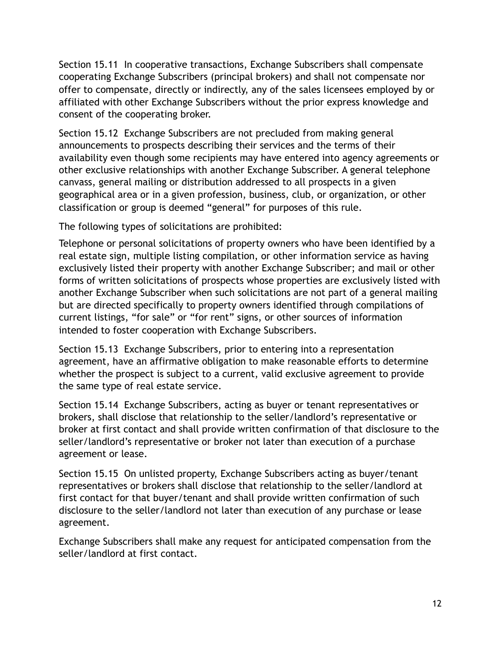Section 15.11 In cooperative transactions, Exchange Subscribers shall compensate cooperating Exchange Subscribers (principal brokers) and shall not compensate nor offer to compensate, directly or indirectly, any of the sales licensees employed by or affiliated with other Exchange Subscribers without the prior express knowledge and consent of the cooperating broker.

Section 15.12 Exchange Subscribers are not precluded from making general announcements to prospects describing their services and the terms of their availability even though some recipients may have entered into agency agreements or other exclusive relationships with another Exchange Subscriber. A general telephone canvass, general mailing or distribution addressed to all prospects in a given geographical area or in a given profession, business, club, or organization, or other classification or group is deemed "general" for purposes of this rule.

The following types of solicitations are prohibited:

Telephone or personal solicitations of property owners who have been identified by a real estate sign, multiple listing compilation, or other information service as having exclusively listed their property with another Exchange Subscriber; and mail or other forms of written solicitations of prospects whose properties are exclusively listed with another Exchange Subscriber when such solicitations are not part of a general mailing but are directed specifically to property owners identified through compilations of current listings, "for sale" or "for rent" signs, or other sources of information intended to foster cooperation with Exchange Subscribers.

Section 15.13 Exchange Subscribers, prior to entering into a representation agreement, have an affirmative obligation to make reasonable efforts to determine whether the prospect is subject to a current, valid exclusive agreement to provide the same type of real estate service.

Section 15.14 Exchange Subscribers, acting as buyer or tenant representatives or brokers, shall disclose that relationship to the seller/landlord's representative or broker at first contact and shall provide written confirmation of that disclosure to the seller/landlord's representative or broker not later than execution of a purchase agreement or lease.

Section 15.15 On unlisted property, Exchange Subscribers acting as buyer/tenant representatives or brokers shall disclose that relationship to the seller/landlord at first contact for that buyer/tenant and shall provide written confirmation of such disclosure to the seller/landlord not later than execution of any purchase or lease agreement.

Exchange Subscribers shall make any request for anticipated compensation from the seller/landlord at first contact.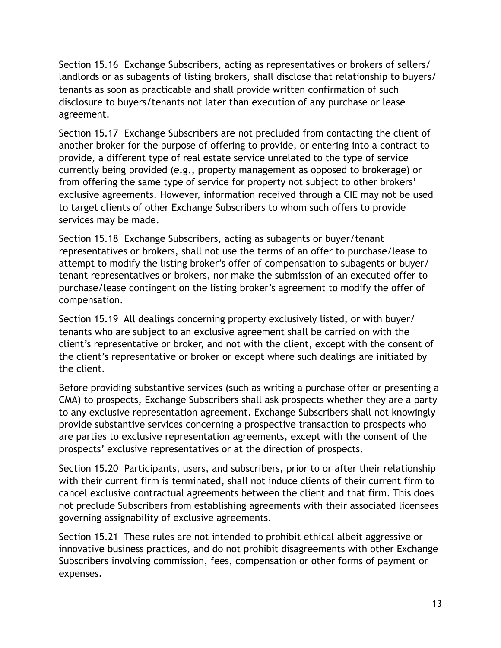Section 15.16 Exchange Subscribers, acting as representatives or brokers of sellers/ landlords or as subagents of listing brokers, shall disclose that relationship to buyers/ tenants as soon as practicable and shall provide written confirmation of such disclosure to buyers/tenants not later than execution of any purchase or lease agreement.

Section 15.17 Exchange Subscribers are not precluded from contacting the client of another broker for the purpose of offering to provide, or entering into a contract to provide, a different type of real estate service unrelated to the type of service currently being provided (e.g., property management as opposed to brokerage) or from offering the same type of service for property not subject to other brokers' exclusive agreements. However, information received through a CIE may not be used to target clients of other Exchange Subscribers to whom such offers to provide services may be made.

Section 15.18 Exchange Subscribers, acting as subagents or buyer/tenant representatives or brokers, shall not use the terms of an offer to purchase/lease to attempt to modify the listing broker's offer of compensation to subagents or buyer/ tenant representatives or brokers, nor make the submission of an executed offer to purchase/lease contingent on the listing broker's agreement to modify the offer of compensation.

Section 15.19 All dealings concerning property exclusively listed, or with buyer/ tenants who are subject to an exclusive agreement shall be carried on with the client's representative or broker, and not with the client, except with the consent of the client's representative or broker or except where such dealings are initiated by the client.

Before providing substantive services (such as writing a purchase offer or presenting a CMA) to prospects, Exchange Subscribers shall ask prospects whether they are a party to any exclusive representation agreement. Exchange Subscribers shall not knowingly provide substantive services concerning a prospective transaction to prospects who are parties to exclusive representation agreements, except with the consent of the prospects' exclusive representatives or at the direction of prospects.

Section 15.20 Participants, users, and subscribers, prior to or after their relationship with their current firm is terminated, shall not induce clients of their current firm to cancel exclusive contractual agreements between the client and that firm. This does not preclude Subscribers from establishing agreements with their associated licensees governing assignability of exclusive agreements.

Section 15.21 These rules are not intended to prohibit ethical albeit aggressive or innovative business practices, and do not prohibit disagreements with other Exchange Subscribers involving commission, fees, compensation or other forms of payment or expenses.